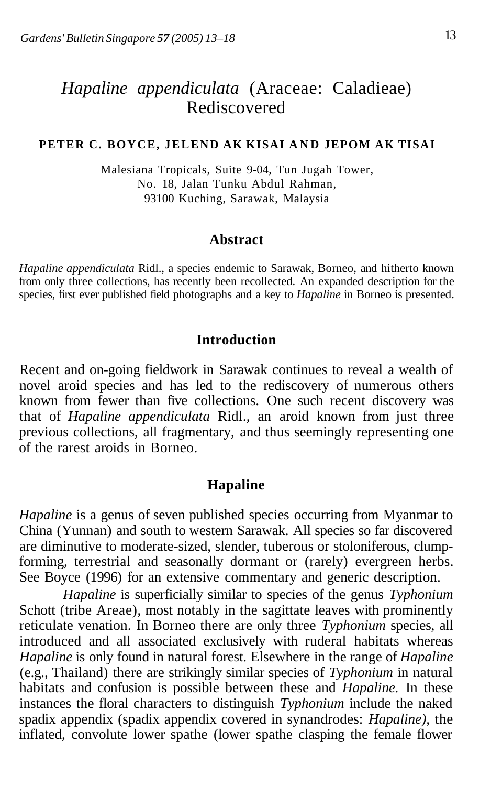# *Hapaline appendiculata* (Araceae: Caladieae) Rediscovered

#### PETER C. BOYCE, JELEND AK KISAI AND JEPOM AK TISAI

Malesiana Tropicals, Suite 9-04, Tun Jugah Tower, No. 18, Jalan Tunku Abdul Rahman, 93100 Kuching, Sarawak, Malaysia

#### **Abstract**

*Hapaline appendiculata* Ridl., a species endemic to Sarawak, Borneo, and hitherto known from only three collections, has recently been recollected. An expanded description for the species, first ever published field photographs and a key to *Hapaline* in Borneo is presented.

#### **Introduction**

Recent and on-going fieldwork in Sarawak continues to reveal a wealth of novel aroid species and has led to the rediscovery of numerous others known from fewer than five collections. One such recent discovery was that of *Hapaline appendiculata* Ridl., an aroid known from just three previous collections, all fragmentary, and thus seemingly representing one of the rarest aroids in Borneo.

## **Hapaline**

*Hapaline* is a genus of seven published species occurring from Myanmar to China (Yunnan) and south to western Sarawak. All species so far discovered are diminutive to moderate-sized, slender, tuberous or stoloniferous, clumpforming, terrestrial and seasonally dormant or (rarely) evergreen herbs. See Boyce (1996) for an extensive commentary and generic description.

*Hapaline* is superficially similar to species of the genus *Typhonium*  Schott (tribe Areae), most notably in the sagittate leaves with prominently reticulate venation. In Borneo there are only three *Typhonium* species, all introduced and all associated exclusively with ruderal habitats whereas *Hapaline* is only found in natural forest. Elsewhere in the range of *Hapaline*  (e.g., Thailand) there are strikingly similar species of *Typhonium* in natural habitats and confusion is possible between these and *Hapaline.* In these instances the floral characters to distinguish *Typhonium* include the naked spadix appendix (spadix appendix covered in synandrodes: *Hapaline),* the inflated, convolute lower spathe (lower spathe clasping the female flower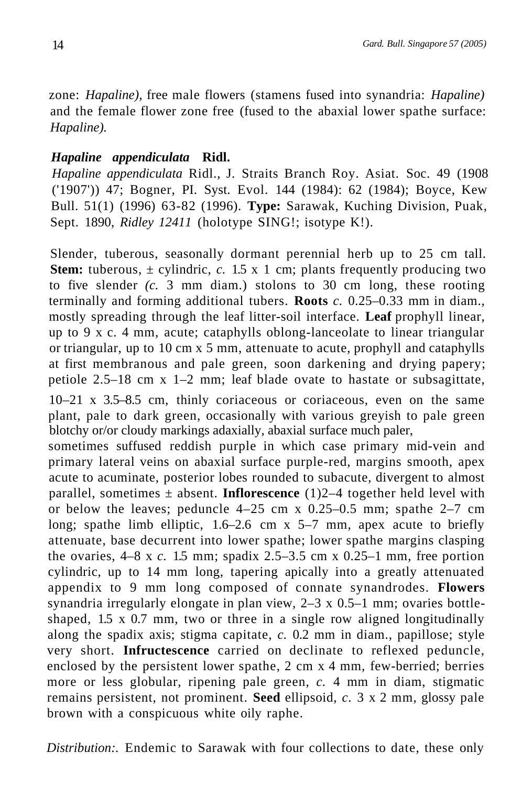zone: *Hapaline),* free male flowers (stamens fused into synandria: *Hapaline)*  and the female flower zone free (fused to the abaxial lower spathe surface: *Hapaline).* 

# *Hapaline appendiculata* **Ridl.**

*Hapaline appendiculata* Ridl., J. Straits Branch Roy. Asiat. Soc. 49 (1908 ('1907')) 47; Bogner, PI. Syst. Evol. 144 (1984): 62 (1984); Boyce, Kew Bull. 51(1) (1996) 63-82 (1996). **Type:** Sarawak, Kuching Division, Puak, Sept. 1890, *Ridley 12411* (holotype SING!; isotype K!).

Slender, tuberous, seasonally dormant perennial herb up to 25 cm tall. **Stem:** tuberous,  $\pm$  cylindric, c. 1.5 x 1 cm; plants frequently producing two to five slender *(c.* 3 mm diam.) stolons to 30 cm long, these rooting terminally and forming additional tubers. **Roots** *c.* 0.25–0.33 mm in diam., mostly spreading through the leaf litter-soil interface. **Leaf** prophyll linear, up to 9 x c. 4 mm, acute; cataphylls oblong-lanceolate to linear triangular or triangular, up to 10 cm x 5 mm, attenuate to acute, prophyll and cataphylls at first membranous and pale green, soon darkening and drying papery; petiole 2.5–18 cm  $x$  1–2 mm; leaf blade ovate to hastate or subsagittate,

10–21 x 3.5–8.5 cm, thinly coriaceous or coriaceous, even on the same plant, pale to dark green, occasionally with various greyish to pale green blotchy or/or cloudy markings adaxially, abaxial surface much paler,

sometimes suffused reddish purple in which case primary mid-vein and primary lateral veins on abaxial surface purple-red, margins smooth, apex acute to acuminate, posterior lobes rounded to subacute, divergent to almost parallel, sometimes  $\pm$  absent. **Inflorescence** (1)2–4 together held level with or below the leaves; peduncle  $4-25$  cm x  $0.25-0.5$  mm; spathe  $2-7$  cm long; spathe limb elliptic, 1.6–2.6 cm x 5–7 mm, apex acute to briefly attenuate, base decurrent into lower spathe; lower spathe margins clasping the ovaries, 4–8 x *c.* 1.5 mm; spadix 2.5–3.5 cm x 0.25–1 mm, free portion cylindric, up to 14 mm long, tapering apically into a greatly attenuated appendix to 9 mm long composed of connate synandrodes. **Flowers**  synandria irregularly elongate in plan view,  $2-3 \times 0.5-1$  mm; ovaries bottleshaped, 1.5 x 0.7 mm, two or three in a single row aligned longitudinally along the spadix axis; stigma capitate, *c.* 0.2 mm in diam., papillose; style very short. **Infructescence** carried on declinate to reflexed peduncle, enclosed by the persistent lower spathe, 2 cm x 4 mm, few-berried; berries more or less globular, ripening pale green, *c.* 4 mm in diam, stigmatic remains persistent, not prominent. **Seed** ellipsoid, *c*. 3 x 2 mm, glossy pale brown with a conspicuous white oily raphe.

*Distribution:.* Endemic to Sarawak with four collections to date, these only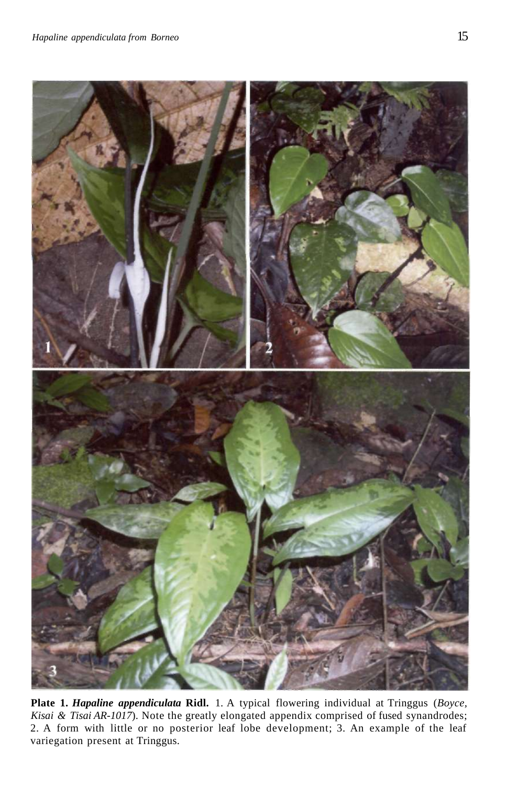

**Plate 1.** *Hapaline appendiculata* **Ridl.** 1. A typical flowering individual at Tringgus (*Boyce, Kisai & Tisai AR-1017*). Note the greatly elongated appendix comprised of fused synandrodes; 2. A form with little or no posterior leaf lobe development; 3. An example of the leaf variegation present at Tringgus.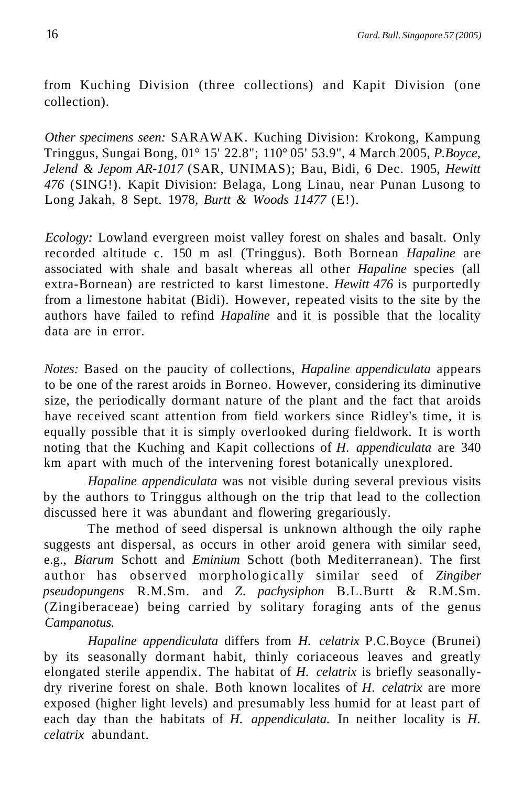from Kuching Division (three collections) and Kapit Division (one collection).

*Other specimens seen:* SARAWAK. Kuching Division: Krokong, Kampung Tringgus, Sungai Bong, 01° 15' 22.8"; 110° 05' 53.9", 4 March 2005, *P.Boyce, Jelend & Jepom AR-1017* (SAR, UNIMAS); Bau, Bidi, 6 Dec. 1905, *Hewitt 476* (SING!). Kapit Division: Belaga, Long Linau, near Punan Lusong to Long Jakah, 8 Sept. 1978, *Burtt & Woods 11477* (E!).

*Ecology:* Lowland evergreen moist valley forest on shales and basalt. Only recorded altitude c. 150 m asl (Tringgus). Both Bornean *Hapaline* are associated with shale and basalt whereas all other *Hapaline* species (all extra-Bornean) are restricted to karst limestone. *Hewitt 476* is purportedly from a limestone habitat (Bidi). However, repeated visits to the site by the authors have failed to refind *Hapaline* and it is possible that the locality data are in error.

*Notes:* Based on the paucity of collections, *Hapaline appendiculata* appears to be one of the rarest aroids in Borneo. However, considering its diminutive size, the periodically dormant nature of the plant and the fact that aroids have received scant attention from field workers since Ridley's time, it is equally possible that it is simply overlooked during fieldwork. It is worth noting that the Kuching and Kapit collections of *H. appendiculata* are 340 km apart with much of the intervening forest botanically unexplored.

*Hapaline appendiculata* was not visible during several previous visits by the authors to Tringgus although on the trip that lead to the collection discussed here it was abundant and flowering gregariously.

The method of seed dispersal is unknown although the oily raphe suggests ant dispersal, as occurs in other aroid genera with similar seed, e.g., *Biarum* Schott and *Eminium* Schott (both Mediterranean). The first author has observed morphologically similar seed of *Zingiber pseudopungens* R.M.Sm. and *Z*. *pachysiphon* B.L.Burtt & R.M.Sm. (Zingiberaceae) being carried by solitary foraging ants of the genus *Campanotus.* 

*Hapaline appendiculata* differs from *H. celatrix* P.C.Boyce (Brunei) by its seasonally dormant habit, thinly coriaceous leaves and greatly elongated sterile appendix. The habitat of *H. celatrix* is briefly seasonallydry riverine forest on shale. Both known localites of *H. celatrix* are more exposed (higher light levels) and presumably less humid for at least part of each day than the habitats of *H. appendiculata.* In neither locality is *H. celatrix* abundant.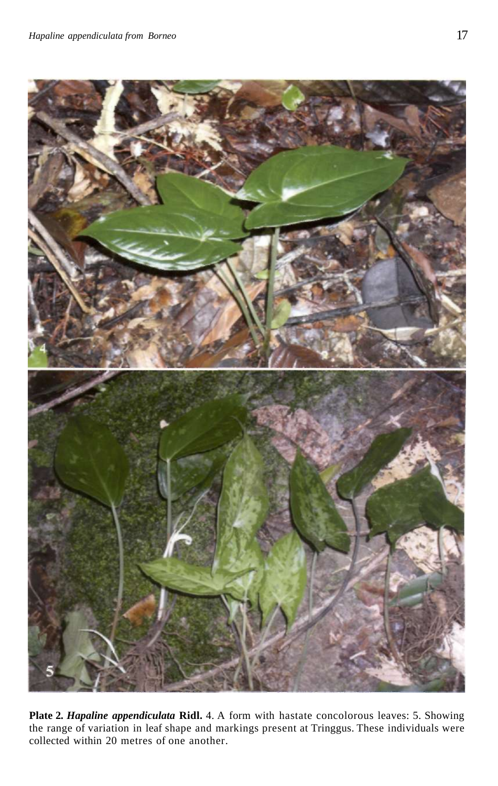

**Plate 2***. Hapaline appendiculata* **Ridl.** 4. A form with hastate concolorous leaves: 5. Showing the range of variation in leaf shape and markings present at Tringgus. These individuals were collected within 20 metres of one another.